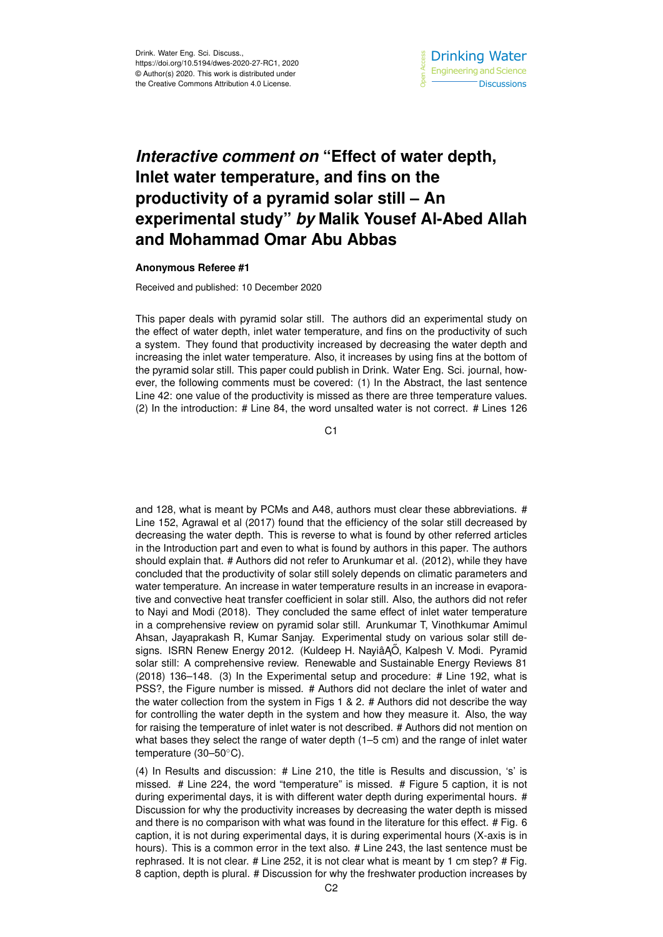## *Interactive comment on* **"Effect of water depth, Inlet water temperature, and fins on the productivity of a pyramid solar still – An experimental study"** *by* **Malik Yousef Al-Abed Allah and Mohammad Omar Abu Abbas**

## **Anonymous Referee #1**

Received and published: 10 December 2020

This paper deals with pyramid solar still. The authors did an experimental study on the effect of water depth, inlet water temperature, and fins on the productivity of such a system. They found that productivity increased by decreasing the water depth and increasing the inlet water temperature. Also, it increases by using fins at the bottom of the pyramid solar still. This paper could publish in Drink. Water Eng. Sci. journal, however, the following comments must be covered: (1) In the Abstract, the last sentence Line 42: one value of the productivity is missed as there are three temperature values. (2) In the introduction: # Line 84, the word unsalted water is not correct. # Lines 126

C<sub>1</sub>

and 128, what is meant by PCMs and A48, authors must clear these abbreviations. # Line 152, Agrawal et al (2017) found that the efficiency of the solar still decreased by decreasing the water depth. This is reverse to what is found by other referred articles in the Introduction part and even to what is found by authors in this paper. The authors should explain that. # Authors did not refer to Arunkumar et al. (2012), while they have concluded that the productivity of solar still solely depends on climatic parameters and water temperature. An increase in water temperature results in an increase in evaporative and convective heat transfer coefficient in solar still. Also, the authors did not refer to Nayi and Modi (2018). They concluded the same effect of inlet water temperature in a comprehensive review on pyramid solar still. Arunkumar T, Vinothkumar Amimul Ahsan, Jayaprakash R, Kumar Sanjay. Experimental study on various solar still designs. ISRN Renew Energy 2012. (Kuldeep H. Nayiâ ĄŐ, Kalpesh V. Modi. Pyramid solar still: A comprehensive review. Renewable and Sustainable Energy Reviews 81 (2018) 136–148. (3) In the Experimental setup and procedure: # Line 192, what is PSS?, the Figure number is missed. # Authors did not declare the inlet of water and the water collection from the system in Figs 1 & 2. # Authors did not describe the way for controlling the water depth in the system and how they measure it. Also, the way for raising the temperature of inlet water is not described. # Authors did not mention on what bases they select the range of water depth (1–5 cm) and the range of inlet water temperature (30–50◦C).

(4) In Results and discussion: # Line 210, the title is Results and discussion, 's' is missed. # Line 224, the word "temperature" is missed. # Figure 5 caption, it is not during experimental days, it is with different water depth during experimental hours. # Discussion for why the productivity increases by decreasing the water depth is missed and there is no comparison with what was found in the literature for this effect. # Fig. 6 caption, it is not during experimental days, it is during experimental hours (X-axis is in hours). This is a common error in the text also. # Line 243, the last sentence must be rephrased. It is not clear. # Line 252, it is not clear what is meant by 1 cm step? # Fig. 8 caption, depth is plural. # Discussion for why the freshwater production increases by